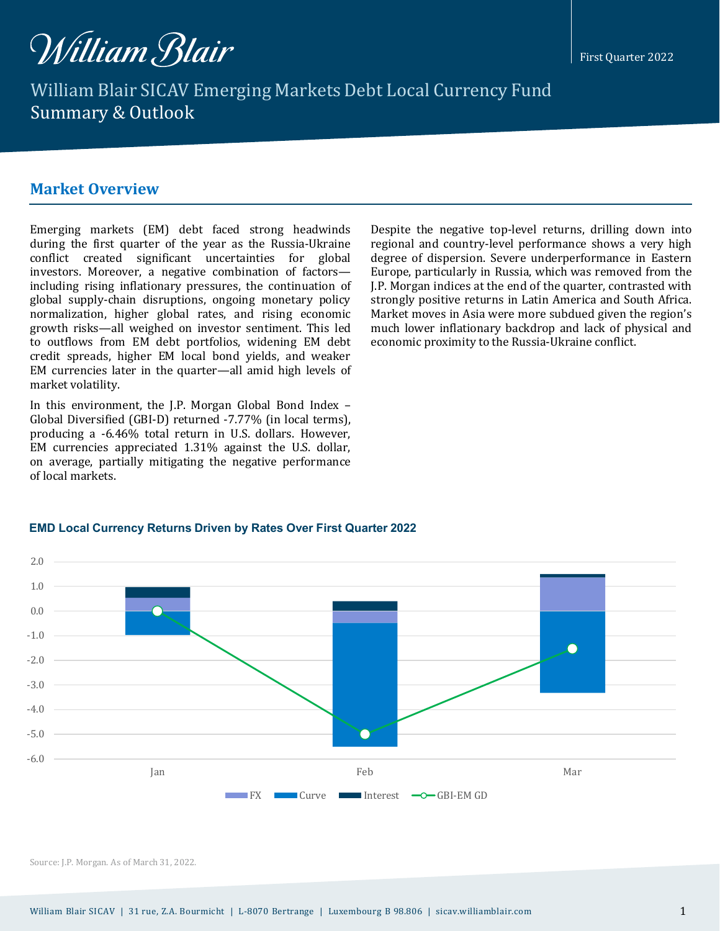

William Blair SICAV Emerging Markets Debt Local Currency Fund Summary & Outlook

## **Market Overview**

during the first quarter of the year as the Russia-Ukraine conflict created significant uncertainties for global investors. Moreover, a negative combination of factors including rising inflationary pressures, the continuation of global supply-chain disruptions, ongoing monetary policy normalization, higher global rates, and rising economic growth risks—all weighed on investor sentiment. This led to outflows from EM debt portfolios, widening EM debt credit spreads, higher EM local bond yields, and weaker EM currencies later in the quarter—all amid high levels of market volatility.

In this environment, the J.P. Morgan Global Bond Index – Global Diversified (GBI-D) returned -7.77% (in local terms), producing a -6.46% total return in U.S. dollars. However, EM currencies appreciated 1.31% against the U.S. dollar, on average, partially mitigating the negative performance of local markets.

Despite the negative top-level returns, drilling down into regional and country-level performance shows a very high degree of dispersion. Severe underperformance in Eastern Europe, particularly in Russia, which was removed from the J.P. Morgan indices at the end of the quarter, contrasted with strongly positive returns in Latin America and South Africa. Market moves in Asia were more subdued given the region's much lower inflationary backdrop and lack of physical and economic proximity to the Russia-Ukraine conflict.

#### **EMD Local Currency Returns Driven by Rates Over First Quarter 2022**



Source: J.P. Morgan. As of March 31, 2022.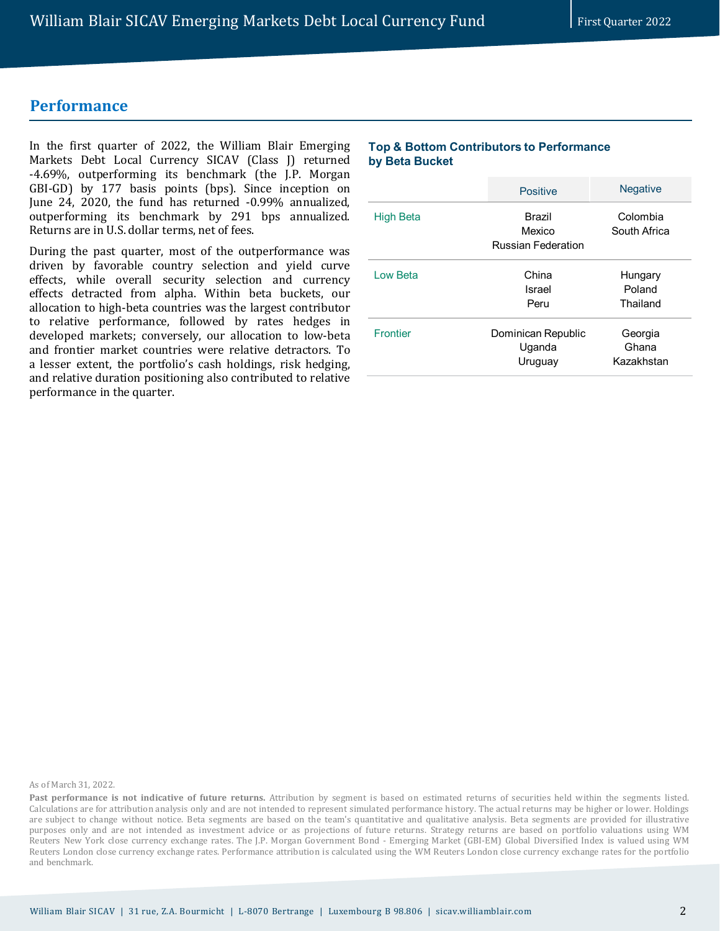## **Performance**

In the first quarter of 2022, the William Blair Emerging Markets Debt Local Currency SICAV (Class J) returned -4.69%, outperforming its benchmark (the J.P. Morgan GBI-GD) by 177 basis points (bps). Since inception on June 24, 2020, the fund has returned -0.99% annualized, outperforming its benchmark by 291 bps annualized. Returns are in U.S. dollar terms, net of fees.

During the past quarter, most of the outperformance was driven by favorable country selection and yield curve effects, while overall security selection and currency effects detracted from alpha. Within beta buckets, our allocation to high-beta countries was the largest contributor to relative performance, followed by rates hedges in developed markets; conversely, our allocation to low-beta and frontier market countries were relative detractors. To a lesser extent, the portfolio's cash holdings, risk hedging, and relative duration positioning also contributed to relative performance in the quarter.

### **Top & Bottom Contributors to Performance by Beta Bucket**

|                  | <b>Positive</b>                                      | <b>Negative</b>                |
|------------------|------------------------------------------------------|--------------------------------|
| <b>High Beta</b> | <b>Brazil</b><br>Mexico<br><b>Russian Federation</b> | Colombia<br>South Africa       |
| Low Beta         | China<br>Israel<br>Peru                              | Hungary<br>Poland<br>Thailand  |
| <b>Frontier</b>  | Dominican Republic<br>Uganda<br>Uruguay              | Georgia<br>Ghana<br>Kazakhstan |

As of March 31, 2022.

**Past performance is not indicative of future returns.** Attribution by segment is based on estimated returns of securities held within the segments listed. Calculations are for attribution analysis only and are not intended to represent simulated performance history. The actual returns may be higher or lower. Holdings are subject to change without notice. Beta segments are based on the team's quantitative and qualitative analysis. Beta segments are provided for illustrative purposes only and are not intended as investment advice or as projections of future returns. Strategy returns are based on portfolio valuations using WM Reuters New York close currency exchange rates. The J.P. Morgan Government Bond - Emerging Market (GBI-EM) Global Diversified Index is valued using WM Reuters London close currency exchange rates. Performance attribution is calculated using the WM Reuters London close currency exchange rates for the portfolio and benchmark.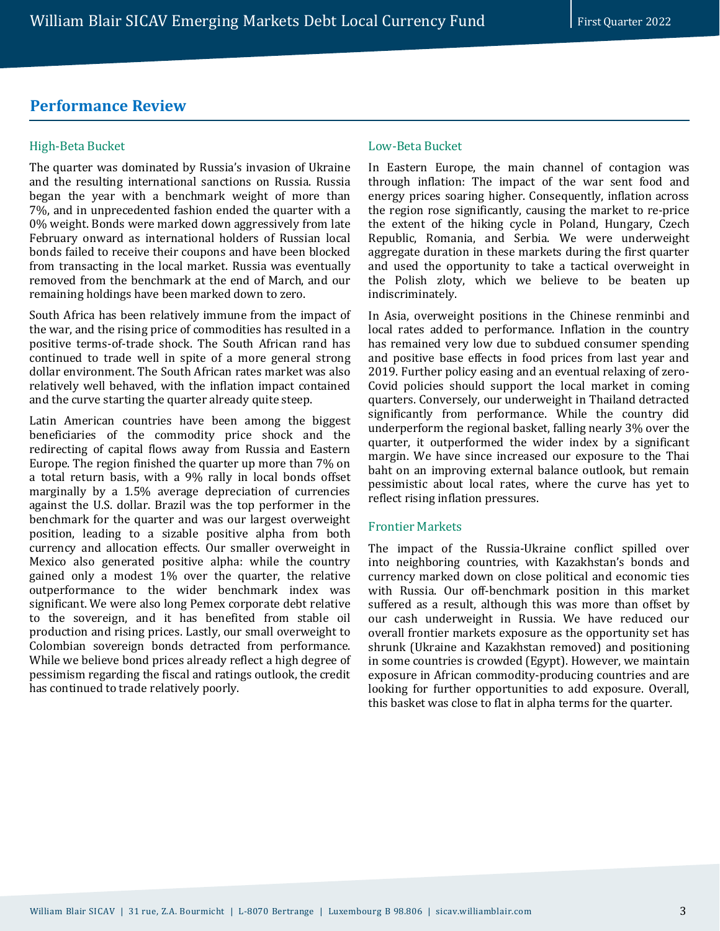## **Performance Review**

### High-Beta Bucket

The quarter was dominated by Russia's invasion of Ukraine and the resulting international sanctions on Russia. Russia began the year with a benchmark weight of more than 7%, and in unprecedented fashion ended the quarter with a 0% weight. Bonds were marked down aggressively from late February onward as international holders of Russian local bonds failed to receive their coupons and have been blocked from transacting in the local market. Russia was eventually removed from the benchmark at the end of March, and our remaining holdings have been marked down to zero.

South Africa has been relatively immune from the impact of the war, and the rising price of commodities has resulted in a positive terms-of-trade shock. The South African rand has continued to trade well in spite of a more general strong dollar environment. The South African rates market was also relatively well behaved, with the inflation impact contained and the curve starting the quarter already quite steep.

Latin American countries have been among the biggest beneficiaries of the commodity price shock and the redirecting of capital flows away from Russia and Eastern Europe. The region finished the quarter up more than 7% on a total return basis, with a 9% rally in local bonds offset marginally by a 1.5% average depreciation of currencies against the U.S. dollar. Brazil was the top performer in the benchmark for the quarter and was our largest overweight position, leading to a sizable positive alpha from both currency and allocation effects. Our smaller overweight in Mexico also generated positive alpha: while the country gained only a modest 1% over the quarter, the relative outperformance to the wider benchmark index was significant. We were also long Pemex corporate debt relative to the sovereign, and it has benefited from stable oil production and rising prices. Lastly, our small overweight to Colombian sovereign bonds detracted from performance. While we believe bond prices already reflect a high degree of pessimism regarding the fiscal and ratings outlook, the credit has continued to trade relatively poorly.

#### Low-Beta Bucket

In Eastern Europe, the main channel of contagion was through inflation: The impact of the war sent food and energy prices soaring higher. Consequently, inflation across the region rose significantly, causing the market to re-price the extent of the hiking cycle in Poland, Hungary, Czech Republic, Romania, and Serbia. We were underweight aggregate duration in these markets during the first quarter and used the opportunity to take a tactical overweight in the Polish zloty, which we believe to be beaten up indiscriminately.

In Asia, overweight positions in the Chinese renminbi and local rates added to performance. Inflation in the country has remained very low due to subdued consumer spending and positive base effects in food prices from last year and 2019. Further policy easing and an eventual relaxing of zero-Covid policies should support the local market in coming quarters. Conversely, our underweight in Thailand detracted significantly from performance. While the country did underperform the regional basket, falling nearly 3% over the quarter, it outperformed the wider index by a significant margin. We have since increased our exposure to the Thai baht on an improving external balance outlook, but remain pessimistic about local rates, where the curve has yet to reflect rising inflation pressures.

### Frontier Markets

The impact of the Russia-Ukraine conflict spilled over into neighboring countries, with Kazakhstan's bonds and currency marked down on close political and economic ties with Russia. Our off-benchmark position in this market suffered as a result, although this was more than offset by our cash underweight in Russia. We have reduced our overall frontier markets exposure as the opportunity set has shrunk (Ukraine and Kazakhstan removed) and positioning in some countries is crowded (Egypt). However, we maintain exposure in African commodity-producing countries and are looking for further opportunities to add exposure. Overall, this basket was close to flat in alpha terms for the quarter.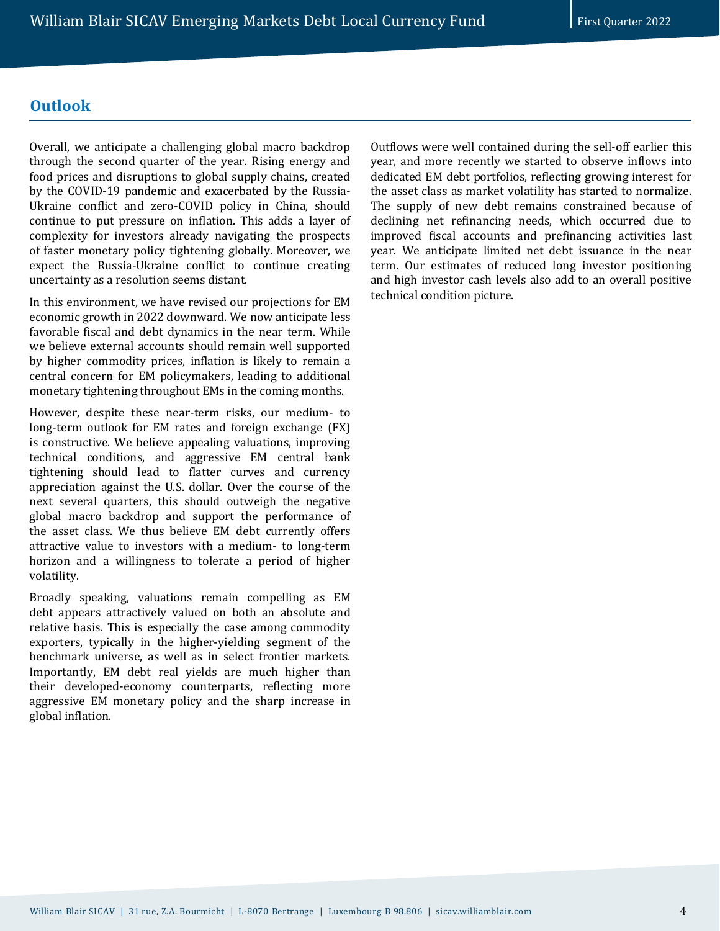## **Outlook**

Overall, we anticipate a challenging global macro backdrop through the second quarter of the year. Rising energy and food prices and disruptions to global supply chains, created by the COVID-19 pandemic and exacerbated by the Russia-Ukraine conflict and zero-COVID policy in China, should continue to put pressure on inflation. This adds a layer of complexity for investors already navigating the prospects of faster monetary policy tightening globally. Moreover, we expect the Russia-Ukraine conflict to continue creating uncertainty as a resolution seems distant.

In this environment, we have revised our projections for EM economic growth in 2022 downward. We now anticipate less favorable fiscal and debt dynamics in the near term. While we believe external accounts should remain well supported by higher commodity prices, inflation is likely to remain a central concern for EM policymakers, leading to additional monetary tightening throughout EMs in the coming months.

However, despite these near-term risks, our medium- to long-term outlook for EM rates and foreign exchange (FX) is constructive. We believe appealing valuations, improving technical conditions, and aggressive EM central bank tightening should lead to flatter curves and currency appreciation against the U.S. dollar. Over the course of the next several quarters, this should outweigh the negative global macro backdrop and support the performance of the asset class. We thus believe EM debt currently offers attractive value to investors with a medium- to long-term horizon and a willingness to tolerate a period of higher volatility.

Broadly speaking, valuations remain compelling as EM debt appears attractively valued on both an absolute and relative basis. This is especially the case among commodity exporters, typically in the higher-yielding segment of the benchmark universe, as well as in select frontier markets. Importantly, EM debt real yields are much higher than their developed-economy counterparts, reflecting more aggressive EM monetary policy and the sharp increase in global inflation.

Outflows were well contained during the sell-off earlier this year, and more recently we started to observe inflows into dedicated EM debt portfolios, reflecting growing interest for the asset class as market volatility has started to normalize. The supply of new debt remains constrained because of declining net refinancing needs, which occurred due to improved fiscal accounts and prefinancing activities last year. We anticipate limited net debt issuance in the near term. Our estimates of reduced long investor positioning and high investor cash levels also add to an overall positive technical condition picture.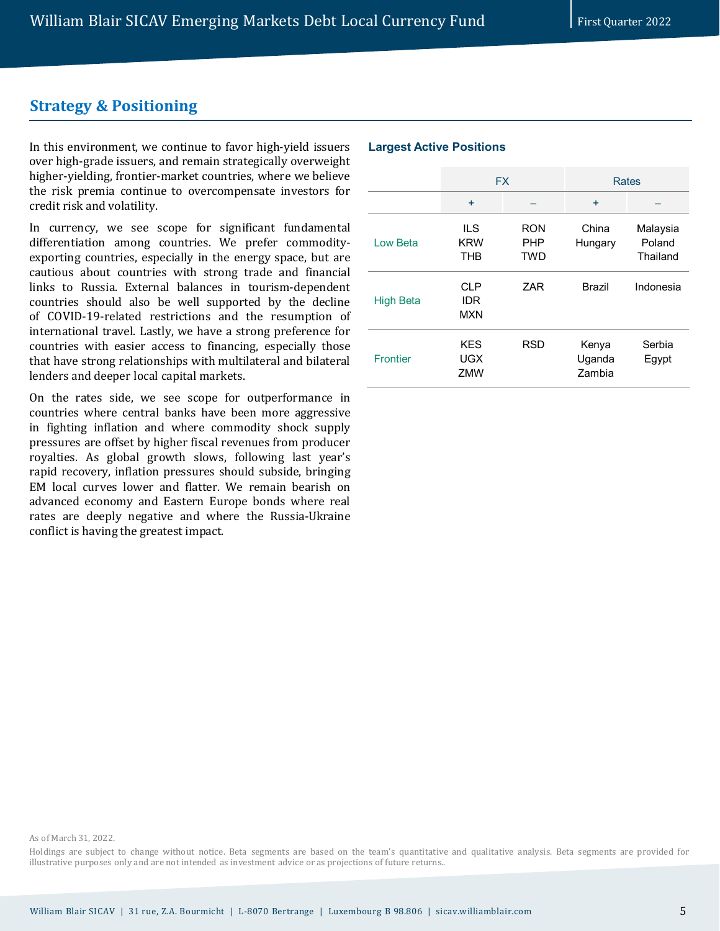# **Strategy & Positioning**

In this environment, we continue to favor high-yield issuers over high-grade issuers, and remain strategically overweight higher-yielding, frontier-market countries, where we believe the risk premia continue to overcompensate investors for credit risk and volatility.

In currency, we see scope for significant fundamental differentiation among countries. We prefer commodityexporting countries, especially in the energy space, but are cautious about countries with strong trade and financial links to Russia. External balances in tourism-dependent countries should also be well supported by the decline of COVID-19-related restrictions and the resumption of international travel. Lastly, we have a strong preference for countries with easier access to financing, especially those that have strong relationships with multilateral and bilateral lenders and deeper local capital markets.

On the rates side, we see scope for outperformance in countries where central banks have been more aggressive in fighting inflation and where commodity shock supply pressures are offset by higher fiscal revenues from producer royalties. As global growth slows, following last year's rapid recovery, inflation pressures should subside, bringing EM local curves lower and flatter. We remain bearish on advanced economy and Eastern Europe bonds where real rates are deeply negative and where the Russia-Ukraine conflict is having the greatest impact.

#### **Largest Active Positions**

|                  | <b>FX</b>                       |                                        | <b>Rates</b>              |                                |
|------------------|---------------------------------|----------------------------------------|---------------------------|--------------------------------|
|                  | ÷                               |                                        | ÷                         |                                |
| Low Beta         | ILS<br><b>KRW</b><br><b>THB</b> | <b>RON</b><br><b>PHP</b><br><b>TWD</b> | China<br>Hungary          | Malaysia<br>Poland<br>Thailand |
| <b>High Beta</b> | CLP<br><b>IDR</b><br><b>MXN</b> | ZAR                                    | <b>Brazil</b>             | Indonesia                      |
| <b>Frontier</b>  | <b>KES</b><br>UGX<br>ZMW        | <b>RSD</b>                             | Kenya<br>Uganda<br>Zambia | Serbia<br>Egypt                |

As of March 31, 2022.

Holdings are subject to change without notice. Beta segments are based on the team's quantitative and qualitative analysis. Beta segments are provided for illustrative purposes only and are not intended as investment advice or as projections of future returns..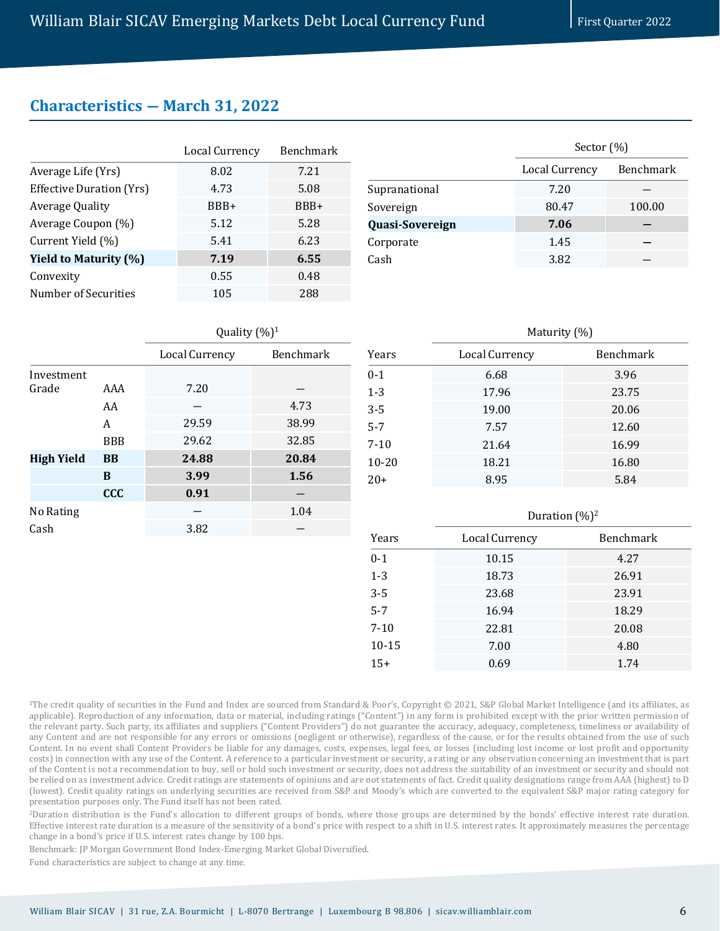$\overline{v}$  ( $\overline{v}$ )1

## **Characteristics ― March 31, 2022**

| <b>Local Currency</b> | Benchmark |
|-----------------------|-----------|
| 8.02                  | 7.21      |
| 4.73                  | 5.08      |
| BBB+                  | BBB+      |
| 5.12                  | 5.28      |
| 5.41                  | 6.23      |
| 7.19                  | 6.55      |
| 0.55                  | 0.48      |
| 105                   | 288       |
|                       |           |

|                 | Sector $(\%)$         |                  |  |
|-----------------|-----------------------|------------------|--|
|                 | <b>Local Currency</b> | <b>Benchmark</b> |  |
| Supranational   | 7.20                  |                  |  |
| Sovereign       | 80.47                 | 100.00           |  |
| Quasi-Sovereign | 7.06                  |                  |  |
| Corporate       | 1.45                  |                  |  |
| Cash            | 3.82                  |                  |  |

|                   |            | Quality (%) <sup>1</sup> |           |  |  |
|-------------------|------------|--------------------------|-----------|--|--|
|                   |            | <b>Local Currency</b>    | Benchmark |  |  |
| Investment        |            |                          |           |  |  |
| Grade             | AAA        | 7.20                     |           |  |  |
|                   | AA         |                          | 4.73      |  |  |
|                   | A          | 29.59                    | 38.99     |  |  |
|                   | <b>BBB</b> | 29.62                    | 32.85     |  |  |
| <b>High Yield</b> | <b>BB</b>  | 24.88                    | 20.84     |  |  |
|                   | B          | 3.99                     | 1.56      |  |  |
|                   | <b>CCC</b> | 0.91                     |           |  |  |
| No Rating         |            |                          | 1.04      |  |  |
| Cash              |            | 3.82                     |           |  |  |
|                   |            |                          |           |  |  |

| $\frac{1}{1}$         |                  |  |  |  |
|-----------------------|------------------|--|--|--|
| <b>Local Currency</b> | <b>Benchmark</b> |  |  |  |
| 6.68                  | 3.96             |  |  |  |
| 17.96                 | 23.75            |  |  |  |
| 19.00                 | 20.06            |  |  |  |
| 7.57                  | 12.60            |  |  |  |
| 21.64                 | 16.99            |  |  |  |
| 18.21                 | 16.80            |  |  |  |
| 8.95                  | 5.84             |  |  |  |
|                       |                  |  |  |  |

Maturity (04)

| Duration $(\%)^2$ |           |  |  |
|-------------------|-----------|--|--|
| Local Currency    | Benchmark |  |  |
| 10.15             | 4.27      |  |  |
| 18.73             | 26.91     |  |  |
| 23.68             | 23.91     |  |  |
| 16.94             | 18.29     |  |  |
| 22.81             | 20.08     |  |  |
| 7.00              | 4.80      |  |  |
| 0.69              | 1.74      |  |  |
|                   |           |  |  |

<sup>1</sup>The credit quality of securities in the Fund and Index are sourced from Standard & Poor's, Copyright © 2021, S&P Global Market Intelligence (and its affiliates, as applicable). Reproduction of any information, data or material, including ratings ("Content") in any form is prohibited except with the prior written permission of the relevant party. Such party, its affiliates and suppliers ("Content Providers") do not guarantee the accuracy, adequacy, completeness, timeliness or availability of any Content and are not responsible for any errors or omissions (negligent or otherwise), regardless of the cause, or for the results obtained from the use of such Content. In no event shall Content Providers be liable for any damages, costs, expenses, legal fees, or losses (including lost income or lost profit and opportunity costs) in connection with any use of the Content. A reference to a particular investment or security, a rating or any observation concerning an investment that is part of the Content is not a recommendation to buy, sell or hold such investment or security, does not address the suitability of an investment or security and should not be relied on as investment advice. Credit ratings are statements of opinions and are not statements of fact. Credit quality designations range from AAA (highest) to D (lowest). Credit quality ratings on underlying securities are received from S&P and Moody's which are converted to the equivalent S&P major rating category for presentation purposes only. The Fund itself has not been rated.

2Duration distribution is the Fund's allocation to different groups of bonds, where those groups are determined by the bonds' effective interest rate duration. Effective interest rate duration is a measure of the sensitivity of a bond's price with respect to a shift in U.S. interest rates. It approximately measures the percentage change in a bond's price if U.S. interest rates change by 100 bps.

Benchmark: JP Morgan Government Bond Index-Emerging Market Global Diversified.

Fund characteristics are subject to change at any time.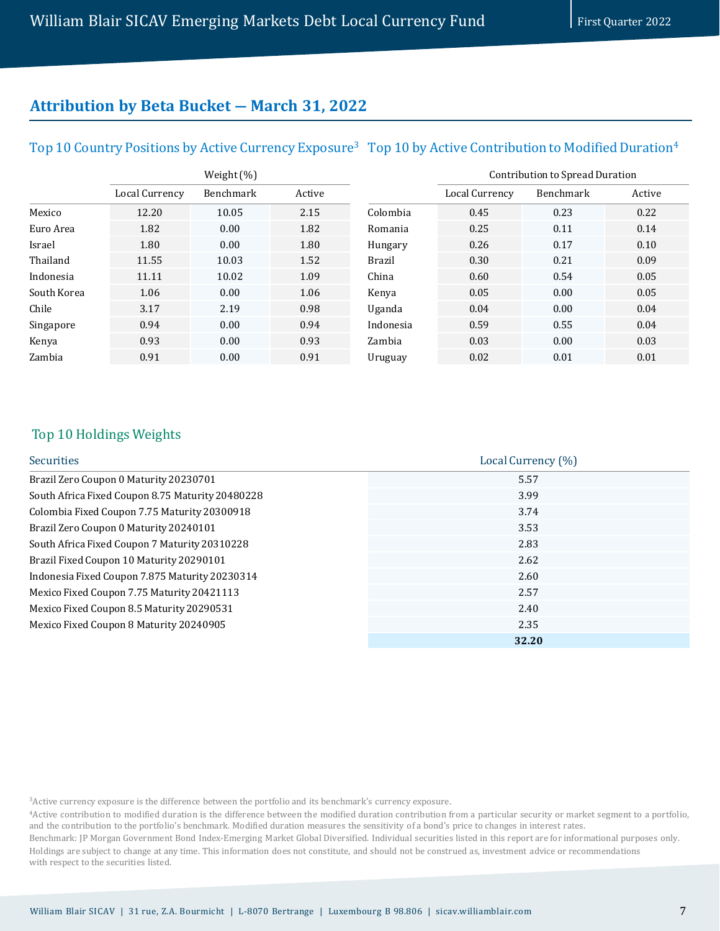# **Attribution by Beta Bucket ― March 31, 2022**

# Top 10 Country Positions by Active Currency Exposure $^3$  Top 10 by Active Contribution to Modified Duration $^4$

|             | Weight (%)     |           |        |           | Contribution to Spread Duration |           |        |
|-------------|----------------|-----------|--------|-----------|---------------------------------|-----------|--------|
|             | Local Currency | Benchmark | Active |           | Local Currency                  | Benchmark | Active |
| Mexico      | 12.20          | 10.05     | 2.15   | Colombia  | 0.45                            | 0.23      | 0.22   |
| Euro Area   | 1.82           | 0.00      | 1.82   | Romania   | 0.25                            | 0.11      | 0.14   |
| Israel      | 1.80           | 0.00      | 1.80   | Hungary   | 0.26                            | 0.17      | 0.10   |
| Thailand    | 11.55          | 10.03     | 1.52   | Brazil    | 0.30                            | 0.21      | 0.09   |
| Indonesia   | 11.11          | 10.02     | 1.09   | China     | 0.60                            | 0.54      | 0.05   |
| South Korea | 1.06           | 0.00      | 1.06   | Kenya     | 0.05                            | 0.00      | 0.05   |
| Chile       | 3.17           | 2.19      | 0.98   | Uganda    | 0.04                            | 0.00      | 0.04   |
| Singapore   | 0.94           | 0.00      | 0.94   | Indonesia | 0.59                            | 0.55      | 0.04   |
| Kenya       | 0.93           | 0.00      | 0.93   | Zambia    | 0.03                            | 0.00      | 0.03   |
| Zambia      | 0.91           | 0.00      | 0.91   | Uruguay   | 0.02                            | 0.01      | 0.01   |

### Top 10 Holdings Weights

| Securities                                       | Local Currency (%) |
|--------------------------------------------------|--------------------|
| Brazil Zero Coupon 0 Maturity 20230701           | 5.57               |
| South Africa Fixed Coupon 8.75 Maturity 20480228 | 3.99               |
| Colombia Fixed Coupon 7.75 Maturity 20300918     | 3.74               |
| Brazil Zero Coupon 0 Maturity 20240101           | 3.53               |
| South Africa Fixed Coupon 7 Maturity 20310228    | 2.83               |
| Brazil Fixed Coupon 10 Maturity 20290101         | 2.62               |
| Indonesia Fixed Coupon 7.875 Maturity 20230314   | 2.60               |
| Mexico Fixed Coupon 7.75 Maturity 20421113       | 2.57               |
| Mexico Fixed Coupon 8.5 Maturity 20290531        | 2.40               |
| Mexico Fixed Coupon 8 Maturity 20240905          | 2.35               |
|                                                  | 32.20              |

3Active currency exposure is the difference between the portfolio and its benchmark's currency exposure.

4Active contribution to modified duration is the difference between the modified duration contribution from a particular security or market segment to a portfolio, and the contribution to the portfolio's benchmark. Modified duration measures the sensitivity of a bond's price to changes in interest rates.

Benchmark: JP Morgan Government Bond Index-Emerging Market Global Diversified. Individual securities listed in this report are for informational purposes only. Holdings are subject to change at any time. This information does not constitute, and should not be construed as, investment advice or recommendations with respect to the securities listed.